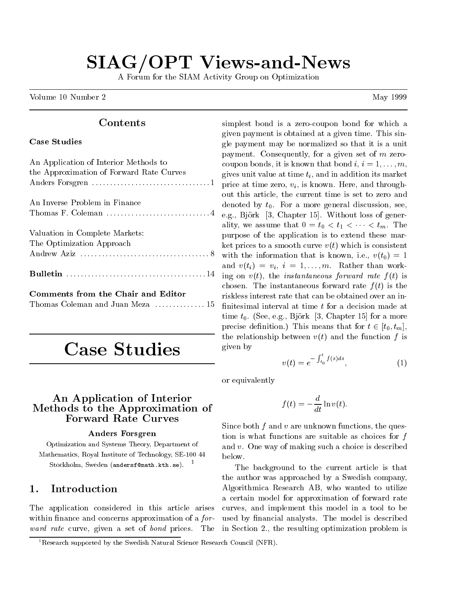# SIAG/OPT Views-and-News

A Forum for the SIAM Activity Group on Optimization

Volume 10 Number 2 May 1999

# Contents

### Case Studies

|                                                                               | payment. Consequently, for a given set of the nero              |
|-------------------------------------------------------------------------------|-----------------------------------------------------------------|
| An Application of Interior Methods to                                         | coupon bonds, it is known that bond i, $i = 1, \ldots, m$ ,     |
| the Approximation of Forward Rate Curves                                      | gives unit value at time $t_i$ , and in addition its market     |
|                                                                               | price at time zero, $v_i$ , is known. Here, and through-        |
|                                                                               | out this article, the current time is set to zero and           |
| An Inverse Problem in Finance                                                 | denoted by $t_0$ . For a more general discussion, see,          |
| Thomas F. Coleman $\ldots \ldots \ldots \ldots \ldots \ldots \ldots \ldots 4$ | e.g., Björk [3, Chapter 15]. Without loss of gener-             |
|                                                                               | ality, we assume that $0 = t_0 < t_1 < \cdots < t_m$ . The      |
| Valuation in Complete Markets:                                                | purpose of the application is to extend these mar-              |
| The Optimization Approach                                                     | ket prices to a smooth curve $v(t)$ which is consistent         |
|                                                                               | with the information that is known, i.e., $v(t_0) = 1$          |
|                                                                               | and $v(t_i) = v_i$ , $i = 1, , m$ . Rather than work-           |
|                                                                               | ing on $v(t)$ , the <i>instantaneous forward rate</i> $f(t)$ is |
|                                                                               | chosen. The instantaneous forward rate $f(t)$ is the            |
| Comments from the Chair and Editor                                            | riskless interest rate that can be obtained over an in-         |

# **Case Studies**

Thomas Coleman and Juan Meza . . . . . . . . . . . . . . 15 simplest bond is a zero-coupon bond for which a given payment is obtained at a given time. This single payment may be normalized so that it is a unit payment. Consequently, for a given set of m zerocoupon bonds, it is known that bond  $i, i = 1, \ldots, m$ , gives unit value at time  $t_i$ , and in addition its market out this article, the current time is set to zero and denoted by  $t_0$ . For a more general discussion, see, ality, we assume that  $0 = t_0 < t_1 < \cdots < t_m$ . The purpose of the application is to extend these market prices to a smooth curve  $v(t)$  which is consistent and  $v(t_i) = v_i$ ,  $i = 1, \ldots, m$ . Rather than workchosen. The instantaneous forward rate  $f(t)$  is the riskless interest rate that can be obtained over an in time  $t_0$ . (See, e.g., Björk [3, Chapter 15] for a more precise definition.) This means that for  $t \in [t_0, t_m]$ , the relationship between  $v(t)$  and the function f is given by

$$
v(t) = e^{-\int_{t_0}^t f(s)ds}, \tag{1}
$$

or equivalently

$$
f(t) = -\frac{d}{dt} \ln v(t).
$$

Since both  $f$  and  $v$  are unknown functions, the question is what functions are suitable as choices for  $f$ and  $v$ . One way of making such a choice is described

The background to the current article is that the author was approached by a Swedish company, Algorithmica Research AB, who wanted to utilize a certain model for approximation of forward rate curves, and implement this model in a tool to be used by financial analysts. The model is described

# An Application of Interior Methods to the Approximation of Forward Rate Curves

## Anders Forsgren

Optimization and Systems Theory, Department of Mathematics, Royal Institute of Technology, SE-100 44 below.  $Stockholm, Sweden (andersf@math.kth.se).$ <sup>1</sup>

#### 1. **Introduction**

The application considered in this article arises within finance and concerns approximation of a forward rate curve, given a set of bond prices. The section 2., the resulting optimization problem is

<sup>&</sup>lt;sup>1</sup>Research supported by the Swedish Natural Science Research Council (NFR).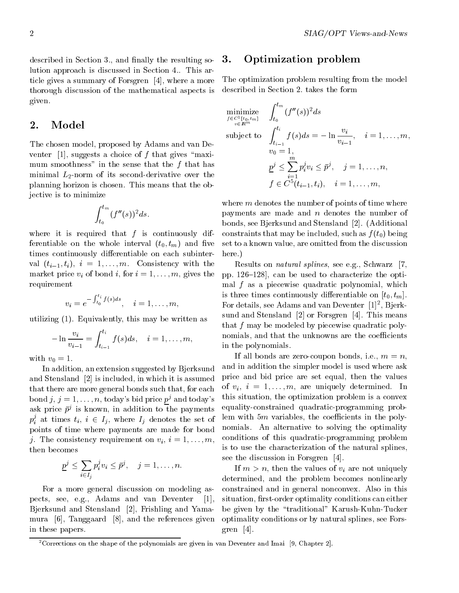described in Section 3., and finally the resulting solution approach is discussed in Section 4.. This article gives a summary of Forsgren [4], where a more thorough discussion of the mathematical aspects is given.

# 2. Model

The chosen model, proposed by Adams and van Deventer [1], suggests a choice of f that gives "maximum smoothness" in the sense that the  $f$  that has minimal  $L_2$ -norm of its second-derivative over the planning horizon is chosen. This means that the objective is to minimize

$$
\int_{t_0}^{t_m}(f^{\prime\prime}(s))^2ds.
$$

where it is required that  $f$  is continuously differentiable on the whole interval  $(t_0, t_m)$  and five times continuously differentiable on each subinterval  $(t_{i-1}, t_i), i = 1, \ldots, m$ . Consistency with the market price  $v_i$  of bond i, for  $i = 1, \ldots, m$ , gives the requirement

$$
v_i = e^{-\int_{t_0}^{t_i} f(s)ds}, \quad i = 1, \dots, m,
$$

utilizing (1). Equivalently, this may be written as

$$
-\ln\frac{v_i}{v_{i-1}}=\int_{t_{i-1}}^{t_i}f(s)ds,\quad i=1,\ldots,m,
$$

with  $v_0 = 1$ .

In addition, an extension suggested by Bjerksund and Stensland [2] is included, in which it is assumed that there are more general bonds such that, for each bond j,  $j = 1, \ldots, n$ , today's bid price  $p^j$  and today's ask price  $p^2$  is known, in addition to the payments  $\sim 444$  $p_i^{\prime}$  at times  $t_i, \; i \, \in \, I_j,$  where  $I_j$  denotes the set of  $\;$   $\;$   $\;$   $\;$   $\;$   $\;$   $\;$ points of time where payments are made for bond j. The consistency requirement on  $v_i$ ,  $i = 1, \ldots, m$ , then becomes

$$
\underline{p}^j \leq \sum_{i \in I_j} p_i^j v_i \leq \overline{p}^j, \quad j = 1, \dots, n.
$$

For a more general discussion on modeling aspects, see, e.g., Adams and van Deventer [1], Bjerksund and Stensland [2], Frishling and Yamamura  $[6]$ , Tanggaard  $[8]$ , and the references given in these papers.

# 3. Optimization problem

The optimization problem resulting from the model described in Section 2. takes the form

$$
\begin{aligned}\n\min_{\substack{f \in C^1[t_0, t_m] \\ v \in \mathbb{R}^m}} \quad & \int_{t_0}^{t_m} (f''(s))^2 ds \\
\text{subject to} \quad & \int_{t_{i-1}}^{t_i} f(s) ds = -\ln \frac{v_i}{v_{i-1}}, \quad i = 1, \dots, m, \\
& v_0 = 1, \\
& \underline{p}^j \le \sum_{i=1}^m p_i^j v_i \le \bar{p}^j, \quad j = 1, \dots, n, \\
& f \in C^5(t_{i-1}, t_i), \quad i = 1, \dots, m,\n\end{aligned}
$$

where  $m$  denotes the number of points of time where payments are made and n denotes the number of bonds, see Bjerksund and Stensland [2]. (Additional constraints that may be included, such as  $f(t_0)$  being set to a known value, are omitted from the discussion here.)

Results on natural splines, see e.g., Schwarz [7, pp.  $126-128$ , can be used to characterize the optimal  $f$  as a piecewise quadratic polynomial, which is three times continuously differentiable on  $[t_0, t_m]$ .  $\Gamma$ or details, see Adams and van Deventer  $\|1\|$  , D $\|$ erksund and Stensland [2] or Forsgren [4]. This means that f may be modeled by piecewise quadratic polynomials, and that the unknowns are the coefficients in the polynomials.

If all bonds are zero-coupon bonds, i.e.,  $m = n$ , and in addition the simpler model is used where ask price and bid price are set equal, then the values of  $v_i$ ,  $i = 1, \ldots, m$ , are uniquely determined. In this situation, the optimization problem is a convex equality-constrained quadratic-programming problem with  $5m$  variables, the coefficients in the polynomials. An alternative to solving the optimality conditions of this quadratic-programming problem is to use the characterization of the natural splines, see the discussion in Forsgren [4].

If  $m>n$ , then the values of  $v_i$  are not uniquely determined, and the problem becomes nonlinearly constrained and in general nonconvex. Also in this situation, first-order optimality conditions can either be given by the "traditional" Karush-Kuhn-Tucker optimality conditions or by natural splines, see Forsgren [4].

<sup>2</sup>Corrections on the shape of the polynomials are given in van Deventer and Imai [9, Chapter 2].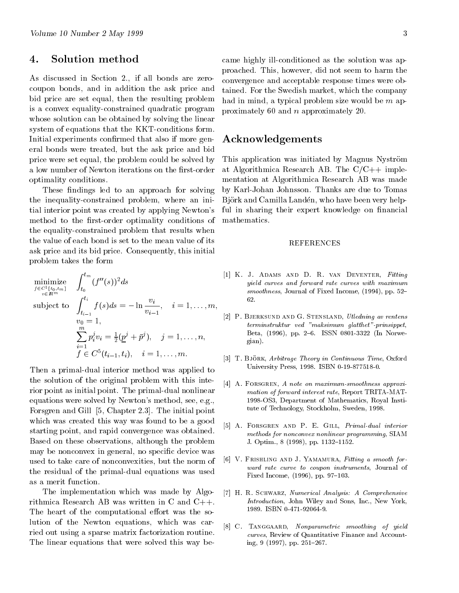# 4. Solution method

As discussed in Section 2., if all bonds are zerocoupon bonds, and in addition the ask price and bid price are set equal, then the resulting problem is a convex equality-constrained quadratic program whose solution can be obtained by solving the linear system of equations that the KKT-conditions form. Initial experiments confirmed that also if more general bonds were treated, but the ask price and bid price were set equal, the problem could be solved by a low number of Newton iterations on the first-order optimality conditions.

These findings led to an approach for solving the inequality-constrained problem, where an initial interior point was created by applying Newton's method to the first-order optimality conditions of the equality-constrained problem that results when the value of each bond is set to the mean value of its ask price and its bid price. Consequently, this initial problem takes the form

minimize  
\n
$$
f_{\epsilon C}^{i}[\mathbf{t}_{0}, t_{m}]\n \begin{cases}\n f_{t_{0}}^{t_{m}}(f''(s))^{2} ds\n \end{cases}
$$
\nsubject to  
\n
$$
\begin{cases}\n f_{t_{i-1}}^{i} f(s) ds = -\ln \frac{v_{i}}{v_{i-1}}, \quad i = 1, ..., m, \\
 v_{0} = 1, \\
 \sum_{i=1}^{m} p_{i}^{j} v_{i} = \frac{1}{2} (\underline{p}^{j} + \bar{p}^{j}), \quad j = 1, ..., n, \\
 f \in C^{5}(t_{i-1}, t_{i}), \quad i = 1, ..., m.\n \end{cases}
$$
\n[1]

Then a primal-dual interior method was applied to the solution of the original problem with this interior point as initial point. The primal-dual nonlinear equations were solved by Newton's method, see, e.g., Forsgren and Gill [5, Chapter 2.3]. The initial point which was created this way was found to be a good starting point, and rapid convergence was obtained. Based on these observations, although the problem may be nonconvex in general, no specific device was used to take care of nonconvexities, but the norm of the residual of the primal-dual equations was used as a merit function.

The implementation which was made by Algorithmica Research AB was written in C and C++. The heart of the computational effort was the solution of the Newton equations, which was carried out using a sparse matrix factorization routine. The linear equations that were solved this way became highly ill-conditioned as the solution was approached. This, however, did not seem to harm the convergence and acceptable response times were obtained. For the Swedish market, which the company had in mind, a typical problem size would be  $m$  approximately 60 and n approximately 20.

# Acknowledgements

This application was initiated by Magnus Nyström at Algorithmica Research AB. The  $C/C++$  implementation at Algorithmica Research AB was made by Karl-Johan Johnsson. Thanks are due to Tomas Björk and Camilla Landén, who have been very helpful in sharing their expert knowledge on financial mathematics.

### REFERENCES

- [1] K. J. Adams and D. R. van Deventer, Fitting yield curves and forward rate curves with maximum smoothness, Journal of Fixed Income,  $(1994)$ , pp. 52-62.
- [2] P. Bjerksund and G. Stensland, Utledning av rentens terminstruktur ved "maksimum glatthet"-prinsippet, Beta, (1996), pp. 2-6. ISSN 0801-3322 (In Norwegian).
- [3] T. Björk, Arbitrage Theory in Continuous Time, Oxford University Press, 1998. ISBN 0-19-877518-0.
- [4] A. FORSGREN, A note on maximum-smoothness approximation of forward interest rate, Report TRITA-MAT-1998-OS3, Department of Mathematics, Royal Institute of Technology, Stockholm, Sweden, 1998.
- [5] A. Forsgren and P. E. Gill, Primal-dual interior methods for nonconvex nonlinear programming, SIAM J. Optim., 8 (1998), pp. 1132-1152.
- [6] V. Frishling and J. Yamamura, Fitting a smooth for ward rate curve to coupon instruments, Journal of Fixed Income,  $(1996)$ , pp. 97-103.
- [7] H. R. Schwarz, Numerical Analysis: A Comprehensive Introduction, John Wiley and Sons, Inc., New York, 1989. ISBN 0-471-92064-9.
- [8] C. TANGGAARD, Nonparametric smoothing of yield curves, Review of Quantitative Finance and Accounting, 9 (1997), pp.  $251-267$ .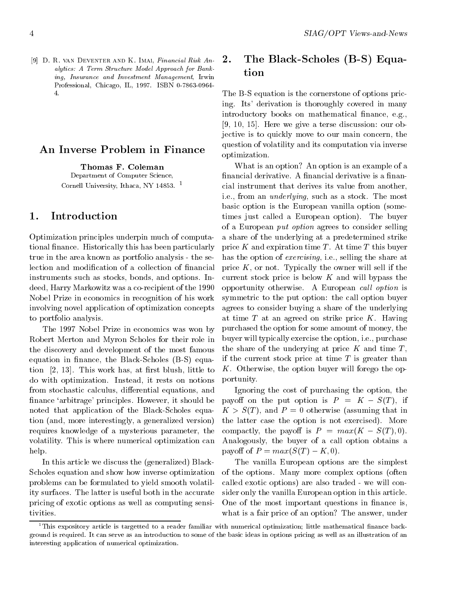[9] D. R. van Deventer and K. Imai, Financial Risk An- $2.$ alytics: A Term Structure Model Approach for Banking, Insurance and Investment Management, Irwin Professional, Chicago, IL, 1997. ISBN 0-7863-0964-  $\overline{4}$ 

# An Inverse Problem in Finance

Thomas F. Coleman Department of Computer Science, Cornell University, Ithaca, NY 14853.<sup>1</sup>

# 1. Introduction

Optimization principles underpin much of computational finance. Historically this has been particularly true in the area known as portfolio analysis - the selection and modification of a collection of financial instruments such as stocks, bonds, and options. Indeed, Harry Markowitz was a co-recipient of the 1990 Nobel Prize in economics in recognition of his work involving novel application of optimization concepts to portfolio analysis.

The 1997 Nobel Prize in economics was won by Robert Merton and Myron Scholes for their role in the discovery and development of the most famous equation in finance, the Black-Scholes  $(B-S)$  equation  $[2, 13]$ . This work has, at first blush, little to do with optimization. Instead, it rests on notions from stochastic calculus, differential equations, and finance 'arbitrage' principles. However, it should be noted that application of the Black-Scholes equation (and, more interestingly, a generalized version) requires knowledge of a mysterious parameter, the volatility. This is where numerical optimization can help.

In this article we discuss the (generalized) Black-Scholes equation and show how inverse optimization problems can be formulated to yield smooth volatility surfaces. The latter is useful both in the accurate pricing of exotic options as well as computing sensitivities.

# The Black-Scholes (B-S) Equa-

The B-S equation is the cornerstone of options pricing. Its' derivation is thoroughly covered in many introductory books on mathematical finance, e.g., [9, 10, 15]. Here we give a terse discussion: our objective is to quickly move to our main concern, the question of volatility and its computation via inverse optimization.

What is an option? An option is an example of a financial derivative. A financial derivative is a financial instrument that derives its value from another, i.e., from an underlying, such as a stock. The most basic option is the European vanilla option (sometimes just called a European option). The buyer of a European put option agrees to consider selling a share of the underlying at a predetermined strike price K and expiration time T. At time T this buyer has the option of exercising, i.e., selling the share at price  $K$ , or not. Typically the owner will sell if the current stock price is below  $K$  and will bypass the opportunity otherwise. A European call option is symmetric to the put option: the call option buyer agrees to consider buying a share of the underlying at time  $T$  at an agreed on strike price  $K$ . Having purchased the option for some amount of money, the buyer will typically exercise the option, i.e., purchase the share of the underying at price  $K$  and time  $T$ , if the current stock price at time  $T$  is greater than K. Otherwise, the option buyer will forego the opportunity.

Ignoring the cost of purchasing the option, the payoff on the put option is  $P = K - S(T)$ , if  $K > S(T)$ , and  $P = 0$  otherwise (assuming that in the latter case the option is not exercised). More compactly, the payoff is  $P = max(K - S(T), 0)$ . Analogously, the buyer of a call option obtains a payoff of  $P = max(S(T) - K, 0)$ .

The vanilla European options are the simplest of the options. Many more complex options (often called exotic options) are also traded - we will consider only the vanilla European option in this article. One of the most important questions in finance is, what is a fair price of an option? The answer, under

This expository article is targetted to a reader familiar with numerical optimization; little mathematical finance background is required. It can serve as an introduction to some of the basic ideas in options pricing as well as an illustration of an interesting application of numerical optimization.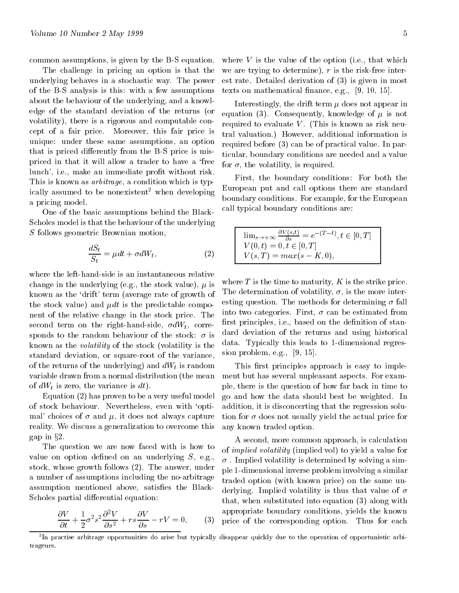common assumptions, is given by the B-S equation.

The challenge in pricing an option is that the underlying behaves in a stochastic way. The power of the B-S analysis is this: with a few assumptions about the behaviour of the underlying, and a knowledge of the standard deviation of the returns (or volatility), there is a rigorous and computable concept of a fair price. Moreover, this fair price is unique: under these same assumptions, an option that is priced differently from the B-S price is mispriced in that it will allow a trader to have a 'free lunch', i.e., make an immediate profit without risk. This is known as arbitrage, a condition which is typically assumed to be nonexistent <sup>2</sup> when developing a pricing model.

One of the basic assumptions behind the Black-Scholes model is that the behaviour of the underlying S follows geometric Brownian motion,

$$
\frac{dS_t}{S_t} = \mu dt + \sigma dW_t, \qquad (2)
$$

where the left-hand-side is an instantaneous relative change in the underlying (e.g., the stock value),  $\mu$  is known as the `drift' term (average rate of growth of the stock value) and  $\mu dt$  is the predictable component of the relative change in the stock price. The second term on the right-hand-side,  $\sigma dW_t$ , corresponds to the random behaviour of the stock:  $\sigma$  is known as the volatility of the stock (volatility is the standard deviation, or square-root of the variance, of the returns of the underlying) and  $dW_t$  is random variable drawn from a normal distribution (the mean of  $dW_t$  is zero, the variance is dt.

Equation (2) has proven to be a very useful model of stock behaviour. Nevertheless, even with `optimal' choices of  $\sigma$  and  $\mu$ , it does not always capture reality. We discuss a generalization to overcome this gap in  $\S2$ .

The question we are now faced with is how to value on option defined on an underlying  $S$ , e.g., stock, whose growth follows (2). The answer, under a number of assumptions including the no-arbitrage assumption mentioned above, satisfies the Black-Scholes partial differential equation:

$$
\frac{\partial V}{\partial t} + \frac{1}{2}\sigma^2 s^2 \frac{\partial^2 V}{\partial s^2} + rs \frac{\partial V}{\partial s} - rV = 0, \qquad (3)
$$

where  $V$  is the value of the option (i.e., that which we are trying to determine),  $r$  is the risk-free interest rate. Detailed derivation of (3) is given in most texts on mathematical finance, e.g., [9, 10, 15].

Interestingly, the drift term  $\mu$  does not appear in equation (3). Consequently, knowledge of  $\mu$  is not required to evaluate  $V$ . (This is known as risk neutral valuation.) However, additional information is required before (3) can be of practical value. In particular, boundary conditions are needed and a value for  $\sigma$ , the volatility, is required.

First, the boundary conditions: For both the European put and call options there are standard boundary conditions. For example, for the European call typical boundary conditions are:

$$
\begin{array}{l}\n\lim_{s \to +\infty} \frac{\partial V(s,t)}{\partial s} = e^{-(T-t)}, t \in [0,T] \\
V(0,t) = 0, t \in [0,T] \\
V(s,T) = max(s - K, 0),\n\end{array}
$$

where  $T$  is the time to maturity,  $K$  is the strike price. The determination of volatility,  $\sigma$ , is the more interesting question. The methods for determining  $\sigma$  fall into two categories. First,  $\sigma$  can be estimated from first principles, i.e., based on the definition of standard deviation of the returns and using historical data. Typically this leads to 1-dimensional regression problem, e.g., [9, 15].

This first principles approach is easy to implement but has several unpleasant aspects. For example, there is the question of how far back in time to go and how the data should best be weighted. In addition, it is disconcerting that the regression solution for  $\sigma$  does not usually yield the actual price for any known traded option.

 $\frac{\partial s}{\partial s}$  -  $\sqrt{v}$  = 0; (3) price of the corresponding option. Thus for each A second, more common approach, is calculation of implied volatility (implied vol) to yield a value for  $\sigma$ . Implied volatility is determined by solving a simple 1-dimensional inverse problem involving a similar traded option (with known price) on the same underlying. Implied volatility is thus that value of  $\sigma$ that, when substituted into equation (3) along with appropriate boundary conditions, yields the known

<sup>2</sup> In practise arbitrage opportunities do arise but typically disappear quickly due to the operation of opportunistic arbitrageurs.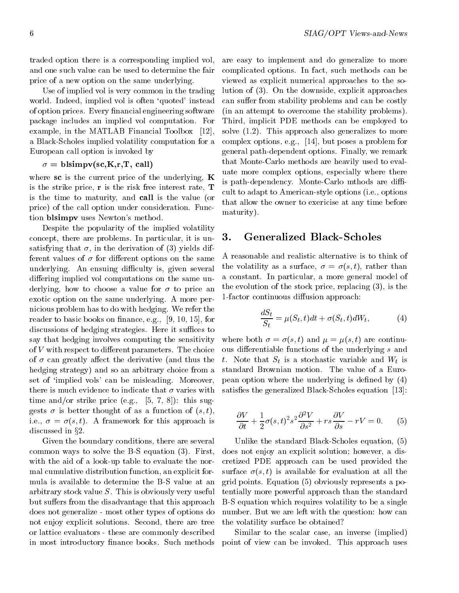traded option there is a corresponding implied vol, and one such value can be used to determine the fair price of a new option on the same underlying.

Use of implied vol is very common in the trading world. Indeed, implied vol is often `quoted' instead of option prices. Every financial engineering software package includes an implied vol computation. For example, in the MATLAB Financial Toolbox [12]. a Black-Scholes implied volatility computation for a European call option is invoked by

### $\sigma = \text{blsimpv}(\text{sc},K,r,T, \text{ call})$

where  $\text{sc}$  is the current price of the underlying,  $\boldsymbol{K}$ is the strike price, r is the risk free interest rate, T is the time to maturity, and call is the value (or price) of the call option under consideration. Function blsimpv uses Newton's method.

Despite the popularity of the implied volatility concept, there are problems. In particular, it is unsatisfying that  $\sigma$ , in the derivation of (3) yields different values of  $\sigma$  for different options on the same underlying. An ensuing difficulty is, given several differing implied vol computations on the same underlying, how to choose a value for  $\sigma$  to price an exotic option on the same underlying. A more pernicious problem has to do with hedging. We refer the reader to basic books on finance, e.g., [9, 10, 15], for discussions of hedging strategies. Here it suffices to say that hedging involves computing the sensitivity of  $V$  with respect to different parameters. The choice of  $\sigma$  can greatly affect the derivative (and thus the hedging strategy) and so an arbitrary choice from a set of 'implied vols' can be misleading. Moreover, there is much evidence to indicate that  $\sigma$  varies with time and/or strike price (e.g., [5, 7, 8]): this suggests  $\sigma$  is better thought of as a function of  $(s, t)$ , i.e.,  $\sigma = \sigma(s, t)$ . A framework for this approach is discussed in  $\S$ 2.

Given the boundary conditions, there are several common ways to solve the B-S equation (3). First, with the aid of a look-up table to evaluate the normal cumulative distribution function, an explicit formula is available to determine the B-S value at an arbitrary stock value  $S$ . This is obviously very useful but suffers from the disadvantage that this approach does not generalize - most other types of options do not enjoy explicit solutions. Second, there are tree or lattice evaluators - these are commonly described in most introductory finance books. Such methods

are easy to implement and do generalize to more complicated options. In fact, such methods can be viewed as explicit numerical approaches to the solution of (3). On the downside, explicit approaches can suffer from stability problems and can be costly (in an attempt to overcome the stability problems). Third, implicit PDE methods can be employed to solve (1.2). This approach also generalizes to more complex options, e.g., [14], but poses a problem for general path-dependent options. Finally, we remark that Monte-Carlo methods are heavily used to evaluate more complex options, especially where there is path-dependency. Monte-Carlo mthods are difficult to adapt to American-style options (i.e., options that allow the owner to exericise at any time before maturity).

### 3. Generalized Black-Scholes

A reasonable and realistic alternative is to think of the volatility as a surface,  $\sigma = \sigma(s, t)$ , rather than a constant. In particular, a more general model of the evolution of the stock price, replacing (3), is the 1-factor continuous diffusion approach:

$$
\frac{dS_t}{S_t} = \mu(S_t, t)dt + \sigma(S_t, t)dW_t,
$$
\n(4)

where both  $\sigma = \sigma(s, t)$  and  $\mu = \mu(s, t)$  are continuous differentiable functions of the underlying  $s$  and t. Note that  $S_t$  is a stochastic variable and  $W_t$  is standard Brownian motion. The value of a European option where the underlying is defined by  $(4)$ satisfies the generalized Black-Scholes equation  $[13]$ :

$$
\frac{\partial V}{\partial t} + \frac{1}{2}\sigma(s,t)^2 s^2 \frac{\partial^2 V}{\partial s^2} + rs \frac{\partial V}{\partial s} - rV = 0.
$$
 (5)

Unlike the standard Black-Scholes equation, (5) does not enjoy an explicit solution; however, a discretized PDE approach can be used provided the surface  $\sigma(s, t)$  is available for evaluation at all the grid points. Equation (5) obviously represents a potentially more powerful approach than the standard B-S equation which requires volatility to be a single number. But we are left with the question: how can the volatility surface be obtained?

Similar to the scalar case, an inverse (implied) point of view can be invoked. This approach uses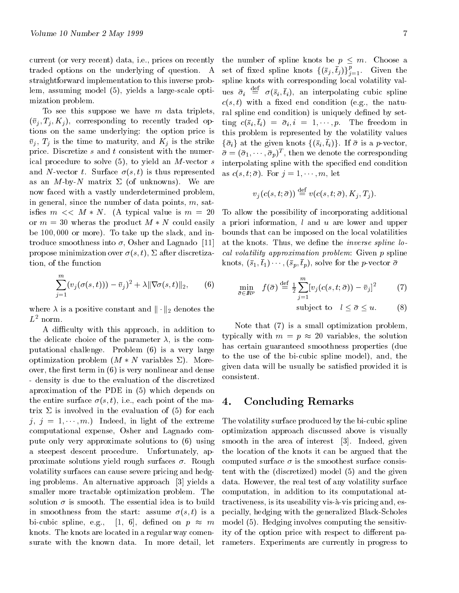current (or very recent) data, i.e., prices on recently traded options on the underlying of question. A straightforward implementation to this inverse problem, assuming model (5), yields a large-scale optimization problem.

To see this suppose we have  $m$  data triplets,  $(\bar{v}_i, T_i, K_i)$ , corresponding to recently traded options on the same underlying: the option price is  $\bar{v}_j$ ,  $T_j$  is the time to maturity, and  $K_j$  is the strike price. Discretize s and t consistent with the numerical procedure to solve  $(5)$ , to yield an M-vector s and N-vector t. Surface  $\sigma(s, t)$  is thus represented as an M-by-N matrix  $\Sigma$  (of unknowns). We are now faced with a vastly underdetermined problem, in general, since the number of data points, m, satisfies  $m \ll M*N$ . (A typical value is  $m = 20$ or  $m = 30$  wheras the product  $M * N$  could easily be 100; 000 or more). To take up the slack, and introduce smoothness into  $\sigma$ , Osher and Lagnado [11] propose minimization over  $\sigma(s, t)$ ,  $\Sigma$  after discretization, of the function

$$
\sum_{j=1}^{m} (v_j(\sigma(s,t))) - \bar{v}_j)^2 + \lambda \|\nabla \sigma(s,t)\|_2, \qquad (6)
$$

where  $\lambda$  is a positive constant and  $\|\cdot\|_2$  denotes the  $L^2$  norm.

A difficulty with this approach, in addition to the delicate choice of the parameter  $\lambda$ , is the computational challenge. Problem (6) is a very large optimization problem  $(M * N \text{ variables } \Sigma)$ . Moreover, the first term in  $(6)$  is very nonlinear and dense - density is due to the evaluation of the discretized aproximation of the PDE in (5) which depends on the entire surface  $\sigma(s, t)$ , i.e., each point of the matrix  $\Sigma$  is involved in the evaluation of (5) for each j,  $j = 1, \dots, m$ . Indeed, in light of the extreme computational expense, Osher and Lagnado compute only very approximate solutions to (6) using a steepest descent procedure. Unfortunately, approximate solutions yield rough surfaces  $\sigma$ . Rough volatility surfaces can cause severe pricing and hedging problems. An alternative approach [3] yields a smaller more tractable optimization problem. The solution  $\sigma$  is smooth. The essential idea is to build in smoothness from the start: assume  $\sigma(s, t)$  is a bi-cubic spline, e.g., [1, 6], defined on  $p \approx m$ knots. The knots are located in a regular way comensurate with the known data. In more detail, let

the number of spline knots be  $p \leq m$ . Choose a set of fixed spline knots  $\{(\bar{s}_j, \bar{t}_j)\}_{j=1}^p$ . Given the spectra corresponding local volations in the corresponding value of  $\sim$ ues  $\bar{\sigma}_i \equiv \sigma(\bar{s}_i, t_i)$ , an interpolating cubic spline  $c(s,t)$  with a fixed end condition (e.g., the natural spline end condition) is uniquely defined by set- $\lim_{i \to \infty} c(s_i, t_i) = o_i, i = 1, \cdots, p.$  The freedom in this problem is represented by the volatility values  $\{\bar{\sigma}_i\}$  at the given knots  $\{(\bar{s}_i, \bar{t}_i)\}\$ . If  $\bar{\sigma}$  is a p-vector,  $\sigma = (\sigma_1, \cdots, \sigma_n)^{\mathsf{T}}$ , then we denote the corresponding interpolating spline with the specied end condition as  $c(s, t; \bar{\sigma})$ . For  $j = 1, \dots, m$ , let

$$
v_j(c(s,t;\bar{\sigma}))\stackrel{\mathrm{def}}{=} v(c(s,t;\bar{\sigma}),K_j,T_j).
$$

To allow the possibility of incorporating additional a priori information, l and u are lower and upper bounds that can be imposed on the local volatilities at the knots. Thus, we define the *inverse spline lo*cal volatility approximation problem: Given problem: Given problem: Given problem: knots,  $(s_1, t_1) \cdots$ ,  $(s_p, t_p)$ , solve for the *p*-vector *o* 

$$
\min_{\bar{\sigma} \in \mathbb{R}^p} f(\bar{\sigma}) \stackrel{\text{def}}{=} \frac{1}{2} \sum_{j=1}^m [v_j(c(s, t; \bar{\sigma})) - \bar{v}_j]^2 \tag{7}
$$

subject to 
$$
l \leq \bar{\sigma} \leq u.
$$
 (8)

Note that (7) is a small optimization problem, typically with  $m = p \approx 20$  variables, the solution has certain guaranteed smoothness properties (due to the use of the bi-cubic spline model), and, the given data will be usually be satised provided it is consistent.

## 4. Concluding Remarks

The volatility surface produced by the bi-cubic spline optimization approach discussed above is visually smooth in the area of interest [3]. Indeed, given the location of the knots it can be argued that the computed surface  $\sigma$  is the smoothest surface consistent with the (discretized) model (5) and the given data. However, the real test of any volatility surface computation, in addition to its computational attractiveness, is its useability vis-à-vis pricing and, especially, hedging with the generalized Black-Scholes model (5). Hedging involves computing the sensitivity of the option price with respect to different parameters. Experiments are currently in progress to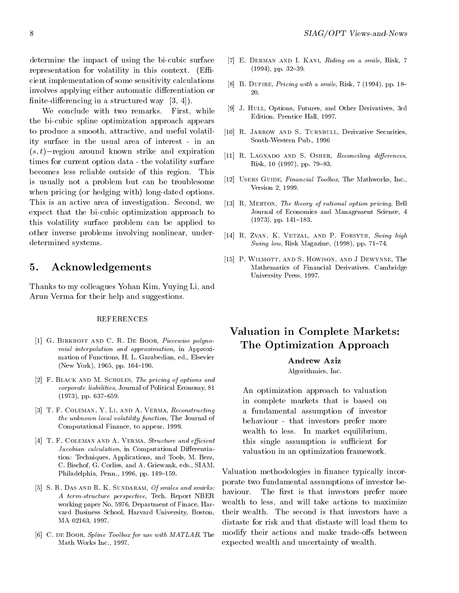determine the impact of using the bi-cubic surface representation for volatility in this context. (Efficient implementation of some sensitivity calculations involves applying either automatic differentiation or finite-differencing in a structured way  $[3, 4]$ ).

We conclude with two remarks. First, while the bi-cubic spline optimization approach appears to produce a smooth, attractive, and useful volatility surface in the usual area of interest - in an  $(s, t)$ -region around known strike and expiration times for current option data - the volatility surface becomes less reliable outside of this region. This is usually not a problem but can be troublesome when pricing (or hedging with) long-dated options. This is an active area of investigation. Second, we expect that the bi-cubic optimization approach to this volatility surface problem can be applied to other inverse problems involving nonlinear, underdetermined systems.

#### 5. 5. Acknowledgements

Thanks to my colleagues Yohan Kim, Yuying Li, and Arun Verma for their help and suggestions.

### REFERENCES

- [1] G. BIRKHOFF AND C. R. DE BOOR, Piecewise polynomial interpolation and approximation, in Approximation of Functions, H. L. Garabedian, ed., Elsevier (New York), 1965, pp.  $164-190$ .
- [2] F. Black and M. Scholes, The pricing of options and corporate liabilities, Journal of Political Economy, 81  $(1973)$ , pp. 637-659.
- [3] T. F. Coleman, Y. Li, and A. Verma, Reconstructing the unknown local volatility function, The Journal of Computational Finance, to appear, 1999.
- [4] T. F. COLEMAN AND A. VERMA, Structure and efficient Jacobian calculation, in Computational Differentiation: Techniques, Applications, and Tools, M. Berz, C. Bischof, G. Corliss, and A. Griewank, eds., SIAM, Philadelphia, Penn., 1996, pp. 149-159.
- [5] S. R. DAS AND R. K. SUNDARAM, Of smiles and smirks:  $\frac{1}{1}$  haviour. A term-structure perspective, Tech. Report NBER working paper No. 5976, Department of Finace, Har vard Business School, Harvard University, Boston, MA 02163, 1997.
- [6] C. de Boor, Spline Toolbox for use with MATLAB, The Math Works Inc., 1997.
- [7] E. Derman and I. Kani, Riding on a smile, Risk, 7  $(1994)$ , pp. 32-39.
- [8] B. DUPIRE, *Pricing with a smile*, Risk,  $7(1994)$ , pp. 18- $20.$
- [9] J. HULL, Options, Futures, and Other Derivatives, 3rd Edition. Prentice Hall, 1997.
- [10] R. JARROW AND S. TURNBULL, Derivative Securities, South-Western Pub., 1996
- [11] R. LAGNADO AND S. OSHER, Reconciling differences, Risk, 10 (1997), pp. 79-83.
- [12] USERS GUIDE, Financial Toolbox, The Mathworks, Inc., Version 2, 1999.
- [13] R. MERTON, The theory of rational option pricing, Bell Journal of Economics and Management Science, 4  $(1973)$ , pp.  $141-183$ .
- [14] R. Zvan, K. Vetzal, and P. Forsyth, Swing high Swing low, Risk Magazine,  $(1998)$ , pp. 71-74.
- [15] P. Wilmott, and S. Howison, and J Dewynne, The Mathematics of Financial Derivatives. Cambridge University Press, 1997.

# Valuation in Complete Markets: The Optimization Approach

### Andrew Aziz

Algorithmics, Inc.

An optimization approach to valuation in complete markets that is based on a fundamental assumption of investor behaviour - that investors prefer more wealth to less. In market equilibrium, this single assumption is sufficient for valuation in an optimization framework.

Valuation methodologies in finance typically incorporate two fundamental assumptions of investor be-The first is that investors prefer more wealth to less, and will take actions to maximize their wealth. The second is that investors have a distaste for risk and that distaste will lead them to modify their actions and make trade-offs between expected wealth and uncertainty of wealth.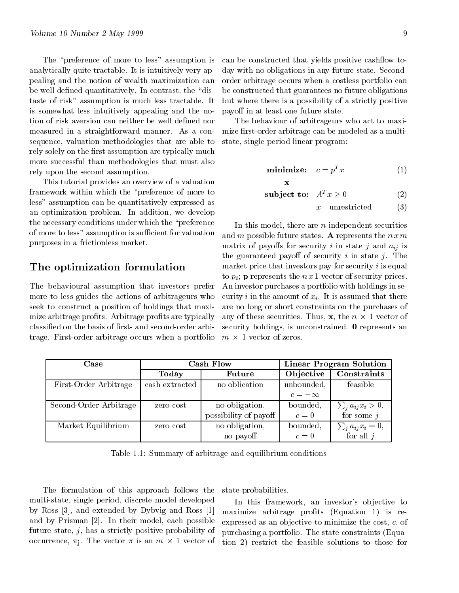The "preference of more to less" assumption is analytically quite tractable. It is intuitively very appealing and the notion of wealth maximization can be well defined quantitatively. In contrast, the "distaste of risk" assumption is much less tractable. It is somewhat less intuitively appealing and the notion of risk aversion can neither be well defined nor measured in a straightforward manner. As a consequence, valuation methodologies that are able to rely solely on the first assumption are typically much more successful than methodologies that must also rely upon the second assumption.

This tutorial provides an overview of a valuation framework within which the \preference of more to less" assumption can be quantitatively expressed as an optimization problem. In addition, we develop the necessary conditions under which the "preference of more to less" assumption is sufficient for valuation purposes in a frictionless market.

# The optimization formulation

The behavioural assumption that investors prefer more to less guides the actions of arbitrageurs who seek to construct a position of holdings that maximize arbitrage profits. Arbitrage profits are typically classified on the basis of first- and second-order arbitrage. First-order arbitrage occurs when a portfolio can be constructed that yields positive cashflow today with no obligations in any future state. Secondorder arbitrage occurs when a costless portfolio can be constructed that guarantees no future obligations but where there is a possibility of a strictly positive payoff in at least one future state.

The behaviour of arbitrageurs who act to maximize first-order arbitrage can be modeled as a multistate, single period linear program:

$$
minimize: \quad c = p^T x \tag{1}
$$

$$
subject \t\mathbf{to}: \t\begin{array}{ll} A^T x \ge 0 & \end{array} \t\tag{2}
$$

 $unrestricted$  (3)

In this model, there are *n* independent securities and m possible future states. A represents the  $n x m$ matrix of payoffs for security i in state j and  $a_{ij}$  is the guaranteed payoff of security i in state j. The market price that investors pay for security  $i$  is equal to  $p_i$ ; **p** represents the  $n \times 1$  vector of security prices. An investor purchases a portfolio with holdings in security i in the amount of  $x_i$ . It is assumed that there are no long or short constraints on the purchases of any of these securities. Thus,  $\mathbf{x}$ , the  $n \times 1$  vector of security holdings, is unconstrained. 0 represents an  $m \times 1$  vector of zeros.

| Case                   | Cash Flow      |                       | <b>Linear Program Solution</b> |                                       |
|------------------------|----------------|-----------------------|--------------------------------|---------------------------------------|
|                        | Today          | Future                | Objective                      | Constraints                           |
| First-Order Arbitrage  | cash extracted | no oblication         | unbounded,                     | feasible                              |
|                        |                |                       | $c=-\infty$                    |                                       |
| Second-Order Arbitrage | zero cost      | no obligation,        | bounded,                       | $\sum_j a_{ij} x_i > 0,$              |
|                        |                | possibility of payoff | $c=0$                          | for some $j$                          |
| Market Equilibrium     | zero cost      | no obligation,        | bounded,                       | $\sum_j a_{ij} x_i = 0,$<br>for all j |
|                        |                | no payoff             | $c=0$                          |                                       |

Table 1.1: Summary of arbitrage and equilibrium conditions

The formulation of this approach follows the multi-state, single period, discrete model developed by Ross [3], and extended by Dybvig and Ross [1] and by Prisman [2]. In their model, each possible future state,  $j$ , has a strictly positive probability of occurrence,  $\pi$ . The vector  $\pi$  is an  $m \times 1$  vector of  $\pi$ 

state probabilities.

In this framework, an investor's objective to maximize arbitrage profits (Equation 1) is reexpressed as an objective to minimize the cost,  $c$ , of purchasing a portfolio. The state constraints (Equation 2) restrict the feasible solutions to those for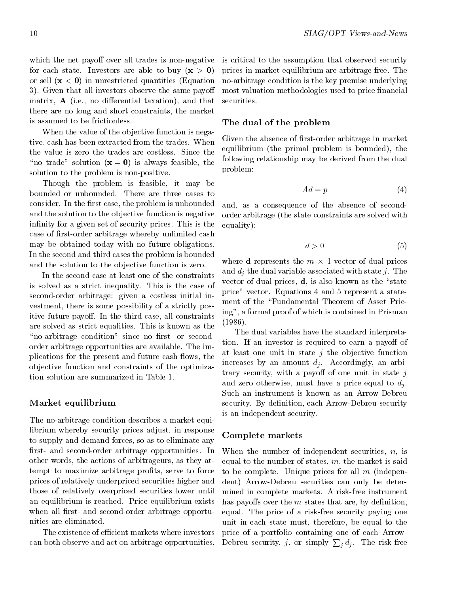which the net payoff over all trades is non-negative for each state. Investors are able to buy  $(x > 0)$ or sell  $(x < 0)$  in unrestricted quantities (Equation 3). Given that all investors observe the same payoff matrix,  $A$  (i.e., no differential taxation), and that there are no long and short constraints, the market is assumed to be frictionless.

When the value of the objective function is negative, cash has been extracted from the trades. When the value is zero the trades are costless. Since the "no trade" solution  $(x = 0)$  is always feasible, the solution to the problem is non-positive.

Though the problem is feasible, it may be bounded or unbounded. There are three cases to consider. In the first case, the problem is unbounded and the solution to the objective function is negative infinity for a given set of security prices. This is the case of first-order arbitrage whereby unlimited cash may be obtained today with no future obligations. In the second and third cases the problem is bounded and the solution to the objective function is zero.

In the second case at least one of the constraints is solved as a strict inequality. This is the case of second-order arbitrage: given a costless initial investment, there is some possibility of a strictly positive future payoff. In the third case, all constraints are solved as strict equalities. This is known as the "no-arbitrage condition" since no first- or secondorder arbitrage opportunities are available. The implications for the present and future cash flows, the ob jective function and constraints of the optimization solution are summarized in Table 1.

### Market equilibrium

The no-arbitrage condition describes a market equilibrium whereby security prices adjust, in response to supply and demand forces, so as to eliminate any first- and second-order arbitrage opportunities. In other words, the actions of arbitrageurs, as they attempt to maximize arbitrage profits, serve to force prices of relatively underpriced securities higher and those of relatively overpriced securities lower until an equilibrium is reached. Price equilibrium exists when all first- and second-order arbitrage opportunities are eliminated.

The existence of efficient markets where investors can both observe and act on arbitrage opportunities, is critical to the assumption that observed security prices in market equilibrium are arbitrage free. The no-arbitrage condition is the key premise underlying most valuation methodologies used to price financial securities.

### $T$  and  $T$  are defined to problems the problems of the problems of  $T$

Given the absence of first-order arbitrage in market equilibrium (the primal problem is bounded), the following relationship may be derived from the dual problem:

$$
Ad = p \tag{4}
$$

and, as a consequence of the absence of secondorder arbitrage (the state constraints are solved with equality):

$$
d > 0 \tag{5}
$$

where **d** represents the  $m \times 1$  vector of dual prices and  $d_i$  the dual variable associated with state j. The vector of dual prices,  $\mathbf{d}$ , is also known as the "state" price" vector. Equations 4 and 5 represent a statement of the "Fundamental Theorem of Asset Pricing", a formal proof of which is contained in Prisman (1986).

The dual variables have the standard interpretation. If an investor is required to earn a payoff of at least one unit in state  $j$  the objective function increases by an amount  $d_i$ . Accordingly, an arbitrary security, with a payoff of one unit in state  $j$ and zero otherwise, must have a price equal to  $d_j$ .<br>Such an instrument is known as an Arrow-Debreu security. By definition, each Arrow-Debreu security is an independent security.

### Complete markets

When the number of independent securities,  $n$ , is equal to the number of states,  $m$ , the market is said to be complete. Unique prices for all  $m$  (independent) Arrow-Debreu securities can only be determined in complete markets. A risk-free instrument has payoffs over the  $m$  states that are, by definition, equal. The price of a risk-free security paying one unit in each state must, therefore, be equal to the price of a portfolio containing one of each Arrow-Debreu security, j, or simply  $\sum_i d_i$ . The risk-free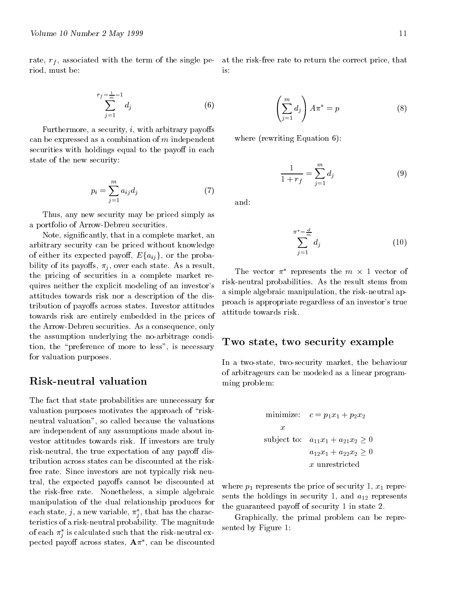riod, must be:

$$
\sum_{j=1}^{r_f=\frac{1}{m}-1} d_j \tag{6}
$$

Furthermore, a security,  $i$ , with arbitrary payoffs can be expressed as a combination of  $m$  independent securities with holdings equal to the payoff in each state of the new security:

$$
p_i = \sum_{j=1}^{m} a_{ij} d_j \tag{7}
$$

Thus, any new security may be priced simply as a portfolio of Arrow-Debreu securities.

Note, signicantly, that in a complete market, an arbitrary security can be priced without knowledge of either its expected payoff,  $E{a_{ij}}$ , or the probability of its payoffs,  $\pi_i$ , over each state. As a result, the pricing of securities in a complete market requires neither the explicit modeling of an investor's attitudes towards risk nor a description of the distribution of payoffs across states. Investor attitudes towards risk are entirely embedded in the prices of the Arrow-Debreu securities. As a consequence, only the assumption underlying the no-arbitrage condition, the "preference of more to less", is necessary for valuation purposes.

# Risk-neutral valuation

The fact that state probabilities are unnecessary for valuation purposes motivates the approach of "riskneutral valuation", so called because the valuations are independent of any assumptions made about investor attitudes towards risk. If investors are truly risk-neutral, the true expectation of any payoff distribution across states can be discounted at the riskfree rate. Since investors are not typically risk neutral, the expected payoffs cannot be discounted at the risk-free rate. Nonetheless, a simple algebraic manipulation of the dual relationship produces for each state,  $\eta$ , a new variable,  $\pi$ , , that has the charac<sup>j</sup> teristics of a risk-neutral probability. The magnitude of each  $\pi_j$  is calculated such that the risk-neutral expected payon across states,  $A\pi$  , can be discounted

rate, rf , associated with the term of the single pe-correct personal the risk-free rate to return person them is:

$$
\left(\sum_{j=1}^{m} d_j\right) A \pi^* = p \tag{8}
$$

where (rewriting Equation 6):

$$
\frac{1}{1+r_f} = \sum_{j=1}^{m} d_j \tag{9}
$$

and:

$$
\sum_{j=1}^{\pi^* = \frac{d}{m}} d_j \tag{10}
$$

The vector  $\pi^+$  represents the  $m \times 1$  vector of risk-neutral probabilities. As the result stems from a simple algebraic manipulation, the risk-neutral approach is appropriate regardless of an investor's true attitude towards risk.

### Two state, two security example

In a two-state, two-security market, the behaviour of arbitrageurs can be modeled as a linear programming problem:

minimize: 
$$
c = p_1 x_1 + p_2 x_2
$$
  
\n $x$   
\nsubject to:  $a_{11}x_1 + a_{21}x_2 \ge 0$   
\n $a_{12}x_1 + a_{22}x_2 \ge 0$   
\n $x$  unrestricted

where  $p_1$  represents the price of security 1,  $x_1$  represents the holdings in security 1, and  $a_{12}$  represents the guaranteed payoff of security  $1$  in state  $2$ .

Graphically, the primal problem canbe represented by Figure 1: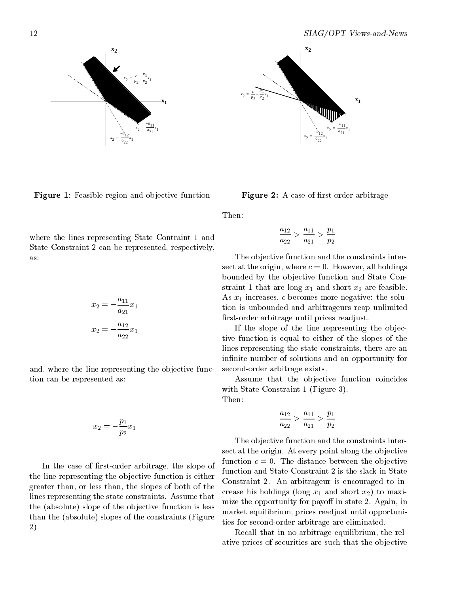



where the lines representing State Contraint 1 and State Constraint 2 can be represented, respectively, as:

$$
x_2 = -\frac{a_{11}}{a_{21}}x_1
$$

$$
x_2 = -\frac{a_{12}}{a_{22}}x_1
$$

and, where the line representing the objective function can be represented as:

$$
x_2=-\frac{p_1}{p_2}x_1
$$

In the case of first-order arbitrage, the slope of the line representing the objective function is either greater than, or less than, the slopes of both of the lines representing the state constraints. Assume that the (absolute) slope of the objective function is less than the (absolute) slopes of the constraints (Figure 2).



**Figure 2:** A case of first-order arbitrage

Then:

$$
\frac{a_{12}}{a_{22}} > \frac{a_{11}}{a_{21}} > \frac{p_1}{p_2}
$$

The objective function and the constraints intersect at the origin, where  $c = 0$ . However, all holdings bounded by the objective function and State Constraint 1 that are long  $x_1$  and short  $x_2$  are feasible. As  $x_1$  increases, c becomes more negative: the solution is unbounded and arbitrageurs reap unlimited first-order arbitrage until prices readjust.

If the slope of the line representing the objective function is equal to either of the slopes of the lines representing the state constraints, there are an infinite number of solutions and an opportunity for second-order arbitrage exists.

Assume that the objective function coincides with State Constraint 1 (Figure 3). Then:

$$
\frac{a_{12}}{a_{22}} > \frac{a_{11}}{a_{21}} > \frac{p_1}{p_2}
$$

The objective function and the constraints intersect at the origin. At every point along the objective function  $c = 0$ . The distance between the objective function and State Constraint 2 is the slack in State Constraint 2. An arbitrageur is encouraged to increase his holdings (long  $x_1$  and short  $x_2$ ) to maximize the opportunity for payoff in state 2. Again, in market equilibrium, prices readjust until opportunities for second-order arbitrage are eliminated.

Recall that in no-arbitrage equilibrium, the relative prices of securities are such that the objective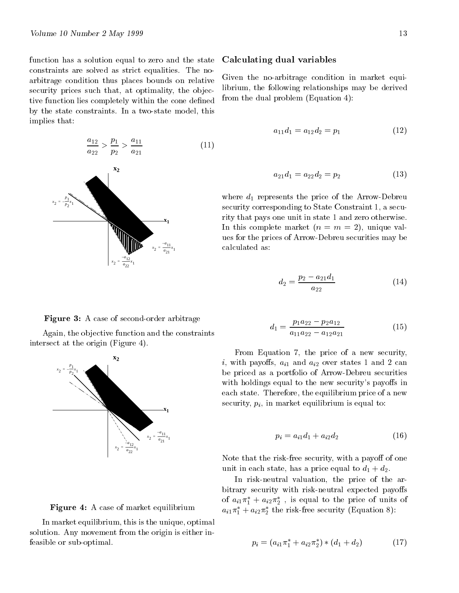function has a solution equal to zero and the state constraints are solved as strict equalities. The noarbitrage condition thus places bounds on relative security prices such that, at optimality, the objective function lies completely within the cone defined by the state constraints. In a two-state model, this implies that:

$$
\frac{a_{12}}{a_{22}} > \frac{p_1}{p_2} > \frac{a_{11}}{a_{21}} \tag{11}
$$



### Calculating dialectic variables and

Given the no-arbitrage condition in market equilibrium, the following relationships may be derived from the dual problem (Equation 4):

$$
a_{11}d_1 = a_{12}d_2 = p_1 \tag{12}
$$

$$
a_{21}d_1 = a_{22}d_2 = p_2 \tag{13}
$$

where  $d_1$  represents the price of the Arrow-Debreu security corresponding to State Constraint 1, a security that pays one unit in state 1 and zero otherwise. In this complete market  $(n = m = 2)$ , unique values for the prices of Arrow-Debreu securities may be calculated as:

$$
d_2 = \frac{p_2 - a_{21}d_1}{a_{22}} \tag{14}
$$

### Figure 3: A case of second-order arbitrage

Again, the objective function and the constraints intersect at the origin (Figure 4).





In market equilibrium, this is the unique, optimal solution. Any movement from the origin is either infeasible or sub-optimal.

$$
d_1 = \frac{p_1 a_{22} - p_2 a_{12}}{a_{11} a_{22} - a_{12} a_{21}} \tag{15}
$$

From Equation 7, the price of a new security, i, with payoffs,  $a_{i1}$  and  $a_{i2}$  over states 1 and 2 can be priced as a portfolio of Arrow-Debreu securities with holdings equal to the new security's payoffs in each state. Therefore, the equilibrium price of a new security,  $p_i$ , in market equilibrium is equal to:

$$
p_i = a_{i1}d_1 + a_{i2}d_2 \tag{16}
$$

Note that the risk-free security, with a payoff of one unit in each state, has a price equal to  $d_1 + d_2$ .

In risk-neutral valuation, the price of the arbitrary security with risk-neutral expected payoffs of  $a_{i1}\pi_1 + a_{i2}\pi_2$ , is equal to the price of units of  $a_{i1}\pi_1 + a_{i2}\pi_2$  the risk-free security (Equation 8):

$$
p_i = (a_{i1}\pi_1^* + a_{i2}\pi_2^*) * (d_1 + d_2)
$$
 (17)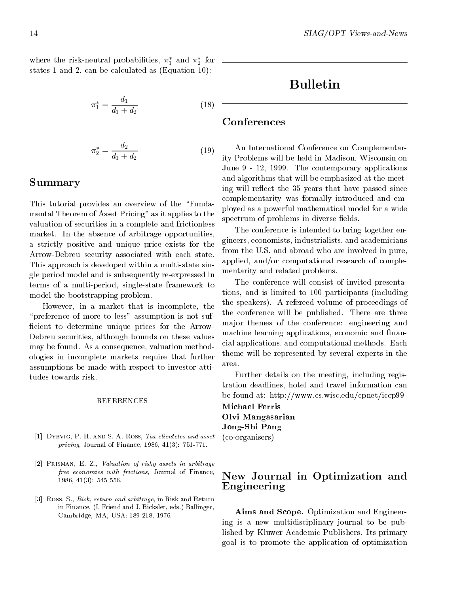where the risk-neutral probabilities,  $\pi_1$  and  $\pi_2$  for  $\qquad \qquad \overline{\qquad \qquad }$ states 1 and 2, can be calculated as (Equation 10):

$$
\pi_1^* = \frac{d_1}{d_1 + d_2} \tag{18}
$$

$$
\pi_2^* = \frac{d_2}{d_1 + d_2} \tag{19}
$$

# Summary

This tutorial provides an overview of the "Fundamental Theorem of Asset Pricing" as it applies to the valuation of securities in a complete and frictionless market. In the absence of arbitrage opportunities, a strictly positive and unique price exists for the Arrow-Debreu security associated with each state. This approach is developed within a multi-state single period model and is subsequently re-expressed in terms of a multi-period, single-state framework to model the bootstrapping problem.

However, in a market that is incomplete, the "preference of more to less" assumption is not sufficient to determine unique prices for the Arrow-Debreu securities, although bounds on these values may be found. As a consequence, valuation methodologies in incomplete markets require that further assumptions be made with respect to investor attitudes towards risk.

### **REFERENCES**

- [1] Dybvig, P. H. and S. A. Ross, Tax clienteles and asset pricing, Journal of Finance, 1986, 41(3): 751-771.
- [2] Prisman, E. Z., Valuation of risky assets in arbitrage free economies with frictions, Journal of Finance, 1986, 41(3): 545-556.
- [3] Ross, S., Risk, return and arbitrage, in Risk and Return in Finance, (I. Friend and J. Bicksler, eds.) Ballinger, Cambridge, MA, USA: 189-218, 1976.

# Bulletin

# Conferences

 $\sim$  1909  $\sim$  1909  $\sim$  1909  $\sim$  1909  $\sim$  1909  $\sim$  1909  $\sim$  1909  $\sim$  1909  $\sim$  1909  $\sim$  1909  $\sim$  1909  $\sim$  1909  $\sim$  1909  $\sim$  1909  $\sim$  1909  $\sim$  1909  $\sim$  1909  $\sim$  1909  $\sim$  1909  $\sim$  1909  $\sim$  1909  $\sim$  1909 An International Conference on Complementarity Problems will be held in Madison, Wisconsin on June 9 - 12, 1999. The contemporary applications and algorithms that will be emphasized at the meeting will reflect the 35 years that have passed since complementarity was formally introduced and employed as a powerful mathematical model for a wide spectrum of problems in diverse fields.

The conference is intended to bring together engineers, economists, industrialists, and academicians from the U.S. and abroad who are involved in pure, applied, and/or computational research of complementarity and related problems.

The conference will consist of invited presentations, and is limited to 100 participants (including the speakers). A refereed volume of proceedings of the conference will be published. There are three ma jor themes of the conference: engineering and machine learning applications, economic and financial applications, and computational methods. Each theme will be represented by several experts in the

Further details on the meeting, including registration deadlines, hotel and travel information can be found at: http://www.cs.wisc.edu/cpnet/iccp99

Michael Ferris Olvi Mangasarian Jong-Shi Pang (co-organisers)

# New Journal in Optimization and Engineering

Aims and Scope. Optimization and Engineering is a new multidisciplinary journal to be published by Kluwer Academic Publishers. Its primary goal is to promote the application of optimization